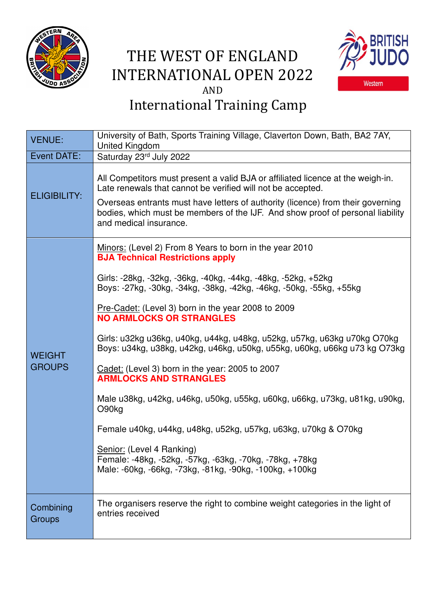

## THE WEST OF ENGLAND INTERNATIONAL OPEN 2022 AND



## International Training Camp

| <b>VENUE:</b>                  | University of Bath, Sports Training Village, Claverton Down, Bath, BA2 7AY,<br>United Kingdom                                                                                                                                                                                                                                                 |
|--------------------------------|-----------------------------------------------------------------------------------------------------------------------------------------------------------------------------------------------------------------------------------------------------------------------------------------------------------------------------------------------|
| Event DATE:                    | Saturday 23rd July 2022                                                                                                                                                                                                                                                                                                                       |
| <b>ELIGIBILITY:</b>            | All Competitors must present a valid BJA or affiliated licence at the weigh-in.<br>Late renewals that cannot be verified will not be accepted.<br>Overseas entrants must have letters of authority (licence) from their governing<br>bodies, which must be members of the IJF. And show proof of personal liability<br>and medical insurance. |
| <b>WEIGHT</b><br><b>GROUPS</b> | Minors: (Level 2) From 8 Years to born in the year 2010<br><b>BJA Technical Restrictions apply</b>                                                                                                                                                                                                                                            |
|                                | Girls: -28kg, -32kg, -36kg, -40kg, -44kg, -48kg, -52kg, +52kg<br>Boys: -27kg, -30kg, -34kg, -38kg, -42kg, -46kg, -50kg, -55kg, +55kg                                                                                                                                                                                                          |
|                                | Pre-Cadet: (Level 3) born in the year 2008 to 2009<br><b>NO ARMLOCKS OR STRANGLES</b>                                                                                                                                                                                                                                                         |
|                                | Girls: u32kg u36kg, u40kg, u44kg, u48kg, u52kg, u57kg, u63kg u70kg O70kg<br>Boys: u34kg, u38kg, u42kg, u46kg, u50kg, u55kg, u60kg, u66kg u73 kg O73kg                                                                                                                                                                                         |
|                                | Cadet: (Level 3) born in the year: 2005 to 2007<br><b>ARMLOCKS AND STRANGLES</b>                                                                                                                                                                                                                                                              |
|                                | Male u38kg, u42kg, u46kg, u50kg, u55kg, u60kg, u66kg, u73kg, u81kg, u90kg,<br>O90kg                                                                                                                                                                                                                                                           |
|                                | Female u40kg, u44kg, u48kg, u52kg, u57kg, u63kg, u70kg & O70kg                                                                                                                                                                                                                                                                                |
|                                | Senior: (Level 4 Ranking)<br>Female: -48kg, -52kg, -57kg, -63kg, -70kg, -78kg, +78kg<br>Male: -60kg, -66kg, -73kg, -81kg, -90kg, -100kg, +100kg                                                                                                                                                                                               |
| Combining<br>Groups            | The organisers reserve the right to combine weight categories in the light of<br>entries received                                                                                                                                                                                                                                             |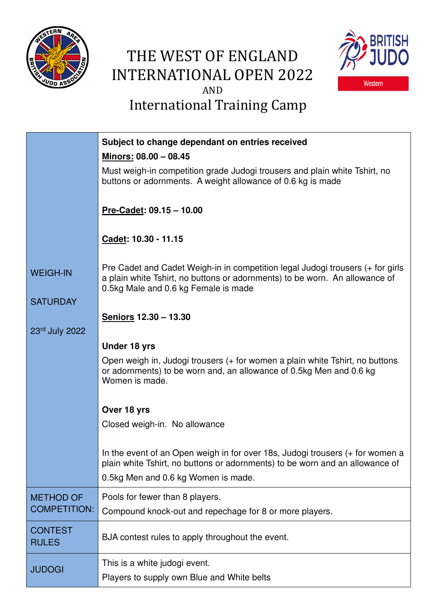

## THE WEST OF ENGLAND INTERNATIONAL OPEN 2022 AND International Training Camp



|                                | Subject to change dependant on entries received                                                                                                                                                       |
|--------------------------------|-------------------------------------------------------------------------------------------------------------------------------------------------------------------------------------------------------|
|                                | Minors: 08.00 - 08.45                                                                                                                                                                                 |
|                                | Must weigh-in competition grade Judogi trousers and plain white Tshirt, no<br>buttons or adornments. A weight allowance of 0.6 kg is made                                                             |
|                                | Pre-Cadet: $09.15 - 10.00$                                                                                                                                                                            |
|                                | Cadet: 10.30 - 11.15                                                                                                                                                                                  |
| <b>WEIGH-IN</b>                | Pre Cadet and Cadet Weigh-in in competition legal Judogi trousers (+ for girls<br>a plain white Tshirt, no buttons or adornments) to be worn. An allowance of<br>0.5kg Male and 0.6 kg Female is made |
| <b>SATURDAY</b>                |                                                                                                                                                                                                       |
|                                | Seniors 12.30 - 13.30                                                                                                                                                                                 |
| 23rd July 2022                 |                                                                                                                                                                                                       |
|                                | <b>Under 18 yrs</b>                                                                                                                                                                                   |
|                                | Open weigh in, Judogi trousers (+ for women a plain white Tshirt, no buttons<br>or adornments) to be worn and, an allowance of 0.5kg Men and 0.6 kg<br>Women is made.                                 |
|                                | Over 18 yrs                                                                                                                                                                                           |
|                                | Closed weigh-in. No allowance                                                                                                                                                                         |
|                                |                                                                                                                                                                                                       |
|                                | In the event of an Open weigh in for over 18s, Judogi trousers (+ for women a<br>plain white Tshirt, no buttons or adornments) to be worn and an allowance of                                         |
|                                | 0.5kg Men and 0.6 kg Women is made.                                                                                                                                                                   |
| <b>METHOD OF</b>               | Pools for fewer than 8 players.                                                                                                                                                                       |
| <b>COMPETITION:</b>            | Compound knock-out and repechage for 8 or more players.                                                                                                                                               |
| <b>CONTEST</b><br><b>RULES</b> | BJA contest rules to apply throughout the event.                                                                                                                                                      |
| <b>JUDOGI</b>                  | This is a white judogi event.                                                                                                                                                                         |
|                                | Players to supply own Blue and White belts                                                                                                                                                            |